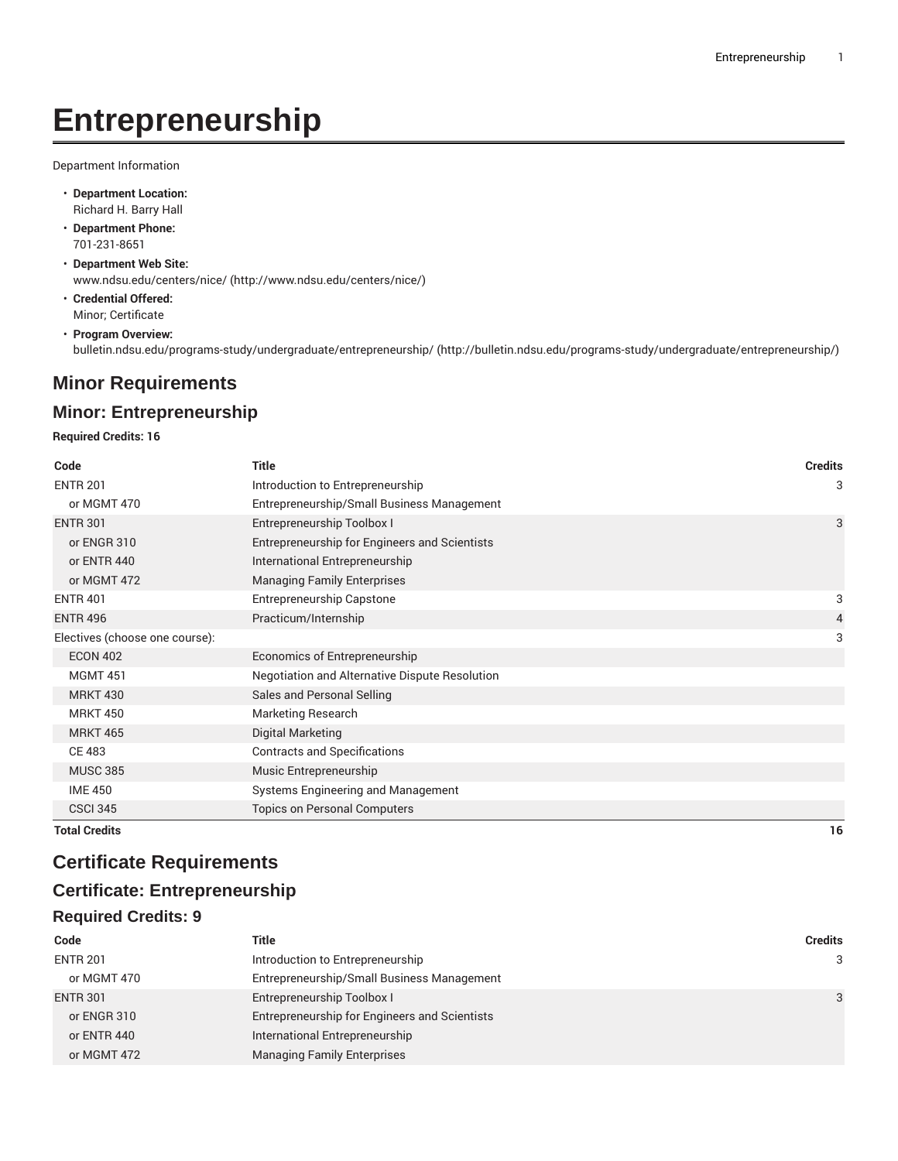# **Entrepreneurship**

Department Information

- **Department Location:** Richard H. Barry Hall
- **Department Phone:** 701-231-8651
- **Department Web Site:** [www.ndsu.edu/centers/nice/](http://www.ndsu.edu/centers/nice/) ([http://www.ndsu.edu/centers/nice/\)](http://www.ndsu.edu/centers/nice/)
- **Credential Offered:** Minor; Certificate
- **Program Overview:** [bulletin.ndsu.edu/programs-study/undergraduate/entrepreneurship/](http://bulletin.ndsu.edu/programs-study/undergraduate/entrepreneurship/) ([http://bulletin.ndsu.edu/programs-study/undergraduate/entrepreneurship/\)](http://bulletin.ndsu.edu/programs-study/undergraduate/entrepreneurship/)

# **Minor Requirements**

### **Minor: Entrepreneurship**

#### **Required Credits: 16**

| Code                           | <b>Title</b>                                   | <b>Credits</b> |
|--------------------------------|------------------------------------------------|----------------|
| <b>ENTR 201</b>                | Introduction to Entrepreneurship               | 3              |
| or MGMT 470                    | Entrepreneurship/Small Business Management     |                |
| <b>ENTR 301</b>                | Entrepreneurship Toolbox I                     | 3              |
| or ENGR 310                    | Entrepreneurship for Engineers and Scientists  |                |
| or ENTR 440                    | International Entrepreneurship                 |                |
| or MGMT 472                    | <b>Managing Family Enterprises</b>             |                |
| <b>ENTR 401</b>                | Entrepreneurship Capstone                      | 3              |
| <b>ENTR 496</b>                | Practicum/Internship                           | 4              |
| Electives (choose one course): |                                                | 3              |
| <b>ECON 402</b>                | Economics of Entrepreneurship                  |                |
| <b>MGMT 451</b>                | Negotiation and Alternative Dispute Resolution |                |
| <b>MRKT 430</b>                | Sales and Personal Selling                     |                |
| <b>MRKT 450</b>                | Marketing Research                             |                |
| <b>MRKT 465</b>                | Digital Marketing                              |                |
| <b>CE 483</b>                  | <b>Contracts and Specifications</b>            |                |
| <b>MUSC 385</b>                | Music Entrepreneurship                         |                |
| <b>IME 450</b>                 | Systems Engineering and Management             |                |
| <b>CSCI 345</b>                | <b>Topics on Personal Computers</b>            |                |
| <b>Total Credits</b>           |                                                | 16             |

# **Certificate Requirements**

## **Certificate: Entrepreneurship**

#### **Required Credits: 9**

| Code            | Title                                         | <b>Credits</b> |
|-----------------|-----------------------------------------------|----------------|
| <b>ENTR 201</b> | Introduction to Entrepreneurship              | 3              |
| or MGMT 470     | Entrepreneurship/Small Business Management    |                |
| <b>ENTR 301</b> | Entrepreneurship Toolbox I                    | 3              |
| or ENGR 310     | Entrepreneurship for Engineers and Scientists |                |
| or ENTR 440     | International Entrepreneurship                |                |
| or MGMT 472     | <b>Managing Family Enterprises</b>            |                |